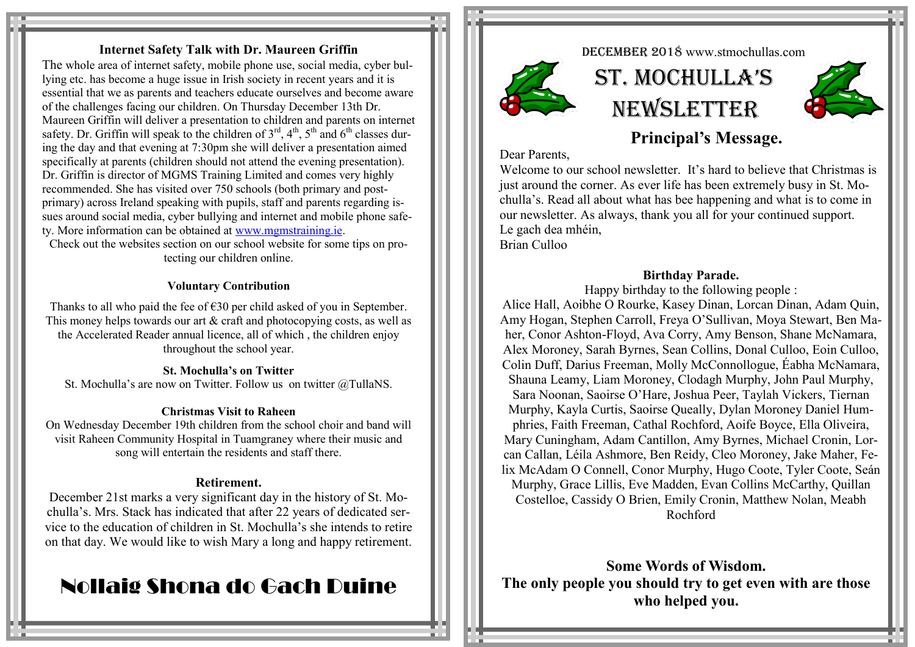## **Internet Safety Talk with Dr. Maureen Griffin**

The whole area of internet safety, mobile phone use, social media, cyber bullying etc. has become a huge issue in Irish society in recent years and it is essential that we as parents and teachers educate ourselves and become aware of the challenges facing our children. On Thursday December 13th Dr. Maureen Griffin will deliver a presentation to children and parents on internet safety. Dr. Griffin will speak to the children of  $3<sup>rd</sup>$ ,  $4<sup>th</sup>$ ,  $5<sup>th</sup>$  and  $6<sup>th</sup>$  classes during the day and that evening at 7:30pm she will deliver a presentation aimed specifically at parents (children should not attend the evening presentation). Dr. Griffin is director of MGMS Training Limited and comes very highly recommended. She has visited over 750 schools (both primary and postprimary) across Ireland speaking with pupils, staff and parents regarding issues around social media, cyber bullying and internet and mobile phone safety. More information can be obtained at [www.mgmstraining.ie.](http://www.mgmstraining.ie)  Check out the websites section on our school website for some tips on pro-

tecting our children online.

#### **Voluntary Contribution**

Thanks to all who paid the fee of  $\epsilon$ 30 per child asked of you in September. This money helps towards our art  $\&$  craft and photocopying costs, as well as the Accelerated Reader annual licence, all of which , the children enjoy throughout the school year.

#### **St. Mochulla's on Twitter**

St. Mochulla's are now on Twitter. Follow us on twitter @TullaNS.

#### **Christmas Visit to Raheen**

On Wednesday December 19th children from the school choir and band will visit Raheen Community Hospital in Tuamgraney where their music and song will entertain the residents and staff there.

#### **Retirement.**

December 21st marks a very significant day in the history of St. Mochulla's. Mrs. Stack has indicated that after 22 years of dedicated service to the education of children in St. Mochulla's she intends to retire on that day. We would like to wish Mary a long and happy retirement.

# Nollaig Shona do Gach Duine

DECEMBER 2018 www.stmochullas.com



 St. Mochulla'S **NEWSLETTER** 



# **Principal's Message.**

Dear Parents,

Welcome to our school newsletter. It's hard to believe that Christmas is just around the corner. As ever life has been extremely busy in St. Mochulla's. Read all about what has bee happening and what is to come in our newsletter. As always, thank you all for your continued support. Le gach dea mhéin, Brian Culloo

#### **Birthday Parade.**

Happy birthday to the following people :

Alice Hall, Aoibhe O Rourke, Kasey Dinan, Lorcan Dinan, Adam Quin, Amy Hogan, Stephen Carroll, Freya O'Sullivan, Moya Stewart, Ben Maher, Conor Ashton-Floyd, Ava Corry, Amy Benson, Shane McNamara, Alex Moroney, Sarah Byrnes, Sean Collins, Donal Culloo, Eoin Culloo, Colin Duff, Darius Freeman, Molly McConnollogue, Éabha McNamara, Shauna Leamy, Liam Moroney, Clodagh Murphy, John Paul Murphy, Sara Noonan, Saoirse O'Hare, Joshua Peer, Taylah Vickers, Tiernan Murphy, Kayla Curtis, Saoirse Queally, Dylan Moroney Daniel Humphries, Faith Freeman, Cathal Rochford, Aoife Boyce, Ella Oliveira, Mary Cuningham, Adam Cantillon, Amy Byrnes, Michael Cronin, Lorcan Callan, Léila Ashmore, Ben Reidy, Cleo Moroney, Jake Maher, Felix McAdam O Connell, Conor Murphy, Hugo Coote, Tyler Coote, Seán Murphy, Grace Lillis, Eve Madden, Evan Collins McCarthy, Quillan Costelloe, Cassidy O Brien, Emily Cronin, Matthew Nolan, Meabh Rochford

**Some Words of Wisdom. The only people you should try to get even with are those who helped you.**